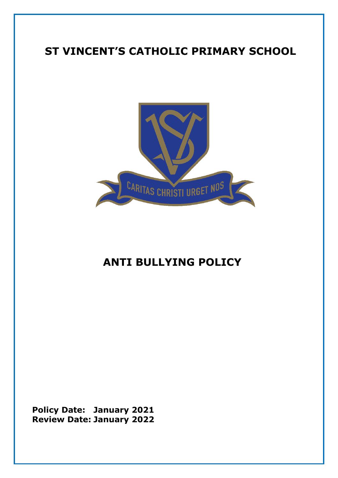# **ST VINCENT'S CATHOLIC PRIMARY SCHOOL**



# **ANTI BULLYING POLICY**

**Policy Date: January 2021 Review Date: January 2022**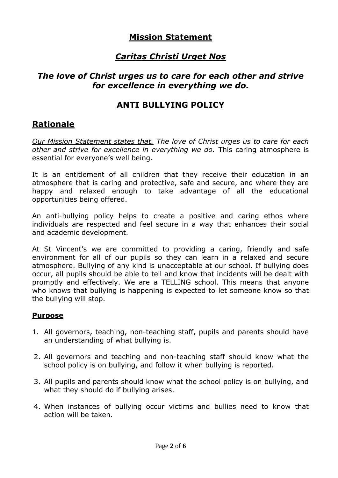### **Mission Statement**

# *Caritas Christi Urget Nos*

### *The love of Christ urges us to care for each other and strive for excellence in everything we do.*

### **ANTI BULLYING POLICY**

### **Rationale**

*Our Mission Statement states that. The love of Christ urges us to care for each other and strive for excellence in everything we do.* This caring atmosphere is essential for everyone's well being.

It is an entitlement of all children that they receive their education in an atmosphere that is caring and protective, safe and secure, and where they are happy and relaxed enough to take advantage of all the educational opportunities being offered.

An anti-bullying policy helps to create a positive and caring ethos where individuals are respected and feel secure in a way that enhances their social and academic development.

At St Vincent's we are committed to providing a caring, friendly and safe environment for all of our pupils so they can learn in a relaxed and secure atmosphere. Bullying of any kind is unacceptable at our school. If bullying does occur, all pupils should be able to tell and know that incidents will be dealt with promptly and effectively. We are a TELLING school. This means that anyone who knows that bullying is happening is expected to let someone know so that the bullying will stop.

#### **Purpose**

- 1. All governors, teaching, non-teaching staff, pupils and parents should have an understanding of what bullying is.
- 2. All governors and teaching and non-teaching staff should know what the school policy is on bullying, and follow it when bullying is reported.
- 3. All pupils and parents should know what the school policy is on bullying, and what they should do if bullying arises.
- 4. When instances of bullying occur victims and bullies need to know that action will be taken.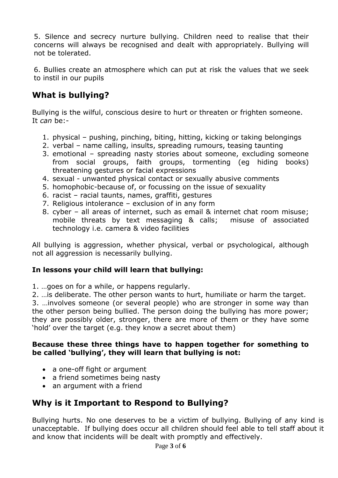5. Silence and secrecy nurture bullying. Children need to realise that their concerns will always be recognised and dealt with appropriately. Bullying will not be tolerated.

6. Bullies create an atmosphere which can put at risk the values that we seek to instil in our pupils

# **What is bullying?**

Bullying is the wilful, conscious desire to hurt or threaten or frighten someone. It *can* be:-

- 1. physical pushing, pinching, biting, hitting, kicking or taking belongings
- 2. verbal name calling, insults, spreading rumours, teasing taunting
- 3. emotional spreading nasty stories about someone, excluding someone from social groups, faith groups, tormenting (eg hiding books) threatening gestures or facial expressions
- 4. sexual unwanted physical contact or sexually abusive comments
- 5. homophobic-because of, or focussing on the issue of sexuality
- 6. racist racial taunts, names, graffiti, gestures
- 7. Religious intolerance exclusion of in any form
- 8. cyber all areas of internet, such as email & internet chat room misuse; mobile threats by text messaging & calls; misuse of associated technology i.e. camera & video facilities

All bullying is aggression, whether physical, verbal or psychological, although not all aggression is necessarily bullying.

#### **In lessons your child will learn that bullying:**

- 1. …goes on for a while, or happens regularly.
- 2. …is deliberate. The other person wants to hurt, humiliate or harm the target.

3. …involves someone (or several people) who are stronger in some way than the other person being bullied. The person doing the bullying has more power; they are possibly older, stronger, there are more of them or they have some 'hold' over the target (e.g. they know a secret about them)

#### **Because these three things have to happen together for something to be called 'bullying', they will learn that bullying is not:**

- a one-off fight or argument
- a friend sometimes being nasty
- an argument with a friend

# **Why is it Important to Respond to Bullying?**

Bullying hurts. No one deserves to be a victim of bullying. Bullying of any kind is unacceptable. If bullying does occur all children should feel able to tell staff about it and know that incidents will be dealt with promptly and effectively.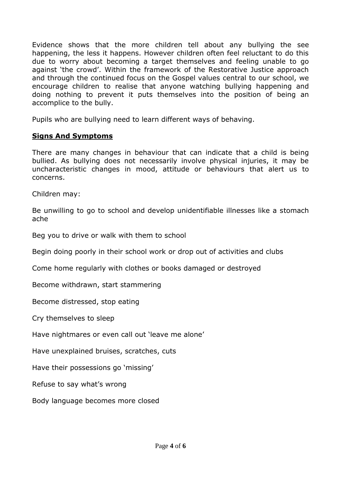Evidence shows that the more children tell about any bullying the see happening, the less it happens. However children often feel reluctant to do this due to worry about becoming a target themselves and feeling unable to go against 'the crowd'. Within the framework of the Restorative Justice approach and through the continued focus on the Gospel values central to our school, we encourage children to realise that anyone watching bullying happening and doing nothing to prevent it puts themselves into the position of being an accomplice to the bully.

Pupils who are bullying need to learn different ways of behaving.

### **Signs And Symptoms**

There are many changes in behaviour that can indicate that a child is being bullied. As bullying does not necessarily involve physical injuries, it may be uncharacteristic changes in mood, attitude or behaviours that alert us to concerns.

Children may:

Be unwilling to go to school and develop unidentifiable illnesses like a stomach ache

Beg you to drive or walk with them to school

Begin doing poorly in their school work or drop out of activities and clubs

Come home regularly with clothes or books damaged or destroyed

Become withdrawn, start stammering

Become distressed, stop eating

Cry themselves to sleep

Have nightmares or even call out 'leave me alone'

Have unexplained bruises, scratches, cuts

Have their possessions go 'missing'

Refuse to say what's wrong

Body language becomes more closed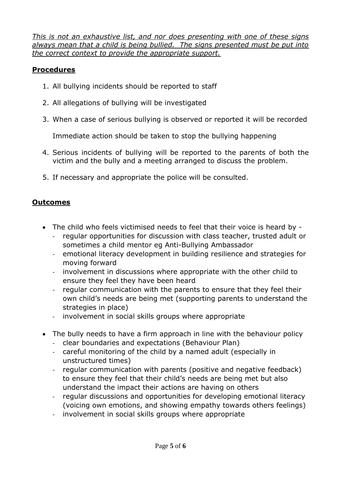*This is not an exhaustive list, and nor does presenting with one of these signs always mean that a child is being bullied. The signs presented must be put into the correct context to provide the appropriate support.*

### **Procedures**

- 1. All bullying incidents should be reported to staff
- 2. All allegations of bullying will be investigated
- 3. When a case of serious bullying is observed or reported it will be recorded

Immediate action should be taken to stop the bullying happening

- 4. Serious incidents of bullying will be reported to the parents of both the victim and the bully and a meeting arranged to discuss the problem.
- 5. If necessary and appropriate the police will be consulted.

### **Outcomes**

- The child who feels victimised needs to feel that their voice is heard by
	- regular opportunities for discussion with class teacher, trusted adult or sometimes a child mentor eg Anti-Bullying Ambassador
	- emotional literacy development in building resilience and strategies for moving forward
	- involvement in discussions where appropriate with the other child to ensure they feel they have been heard
	- regular communication with the parents to ensure that they feel their own child's needs are being met (supporting parents to understand the strategies in place)
	- involvement in social skills groups where appropriate
- The bully needs to have a firm approach in line with the behaviour policy
	- clear boundaries and expectations (Behaviour Plan)
	- careful monitoring of the child by a named adult (especially in unstructured times)
	- regular communication with parents (positive and negative feedback) to ensure they feel that their child's needs are being met but also understand the impact their actions are having on others
	- regular discussions and opportunities for developing emotional literacy (voicing own emotions, and showing empathy towards others feelings)
	- involvement in social skills groups where appropriate